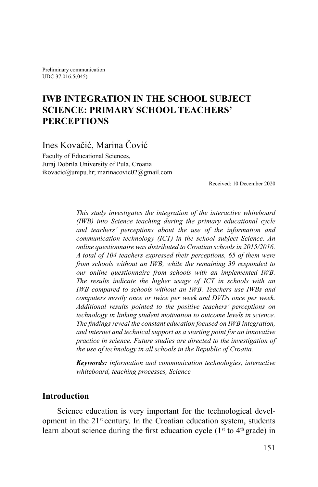Preliminary communication UDC 37.016:5(045)

# **IWB INTEGRATION IN THE SCHOOL SUBJECT SCIENCE: PRIMARY SCHOOL TEACHERS' PERCEPTIONS**

Ines Kovačić, Marina Čović

Faculty of Educational Sciences, Juraj Dobrila University of Pula, Croatia ikovacic@unipu.hr; marinacovic02@gmail.com

Received: 10 December 2020

*This study investigates the integration of the interactive whiteboard (IWB) into Science teaching during the primary educational cycle and teachers' perceptions about the use of the information and communication technology (ICT) in the school subject Science. An online questionnaire was distributed to Croatian schoolsin 2015/2016. A total of 104 teachers expressed their perceptions, 65 of them were from schools without an IWB, while the remaining 39 responded to our online questionnaire from schools with an implemented IWB. The results indicate the higher usage of ICT in schools with an IWB compared to schools without an IWB. Teachers use IWBs and computers mostly once or twice per week and DVDs once per week. Additional results pointed to the positive teachers' perceptions on technology in linking student motivation to outcome levels in science. The findings reveal the constant education focused on IWB integration, and internet and technical support as a starting point for an innovative practice in science. Future studies are directed to the investigation of the use of technology in all schools in the Republic of Croatia.*

*Keywords: information and communication technologies, interactive whiteboard, teaching processes, Science*

#### **Introduction**

Science education is very important for the technological development in the  $21<sup>st</sup>$  century. In the Croatian education system, students learn about science during the first education cycle  $(1<sup>st</sup>$  to  $4<sup>th</sup>$  grade) in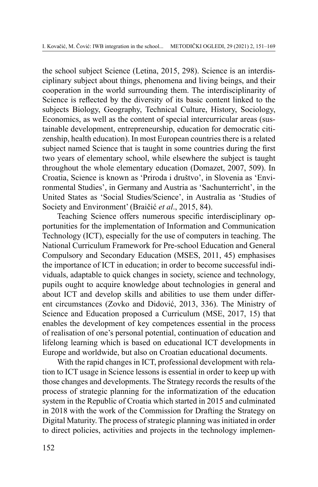the school subject Science (Letina, 2015, 298). Science is an interdisciplinary subject about things, phenomena and living beings, and their cooperation in the world surrounding them. The interdisciplinarity of Science is reflected by the diversity of its basic content linked to the subjects Biology, Geography, Technical Culture, History, Sociology, Economics, as well as the content of special intercurricular areas (sustainable development, entrepreneurship, education for democratic citizenship, health education). In most European countries there is a related subject named Science that is taught in some countries during the first two years of elementary school, while elsewhere the subject is taught throughout the whole elementary education (Domazet, 2007, 509). In Croatia, Science is known as 'Priroda i društvo', in Slovenia as 'Environmental Studies', in Germany and Austria as 'Sachunterricht', in the United States as 'Social Studies/Science', in Australia as 'Studies of Society and Environment' (Braičić *et al*., 2015, 84).

Teaching Science offers numerous specific interdisciplinary opportunities for the implementation of Information and Communication Technology (ICT), especially for the use of computers in teaching. The National Curriculum Framework for Pre-school Education and General Compulsory and Secondary Education (MSES, 2011, 45) emphasises the importance of ICT in education; in order to become successful individuals, adaptable to quick changes in society, science and technology, pupils ought to acquire knowledge about technologies in general and about ICT and develop skills and abilities to use them under different circumstances (Zovko and Didović, 2013, 336). The Ministry of Science and Education proposed a Curriculum (MSE, 2017, 15) that enables the development of key competences essential in the process of realisation of one's personal potential, continuation of education and lifelong learning which is based on educational ICT developments in Europe and worldwide, but also on Croatian educational documents.

With the rapid changes in ICT, professional development with relation to ICT usage in Science lessons is essential in order to keep up with those changes and developments. The Strategy records the results of the process of strategic planning for the informatization of the education system in the Republic of Croatia which started in 2015 and culminated in 2018 with the work of the Commission for Drafting the Strategy on Digital Maturity. The process of strategic planning was initiated in order to direct policies, activities and projects in the technology implemen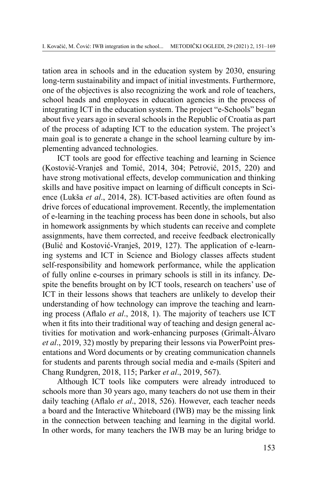tation area in schools and in the education system by 2030, ensuring long-term sustainability and impact of initial investments. Furthermore, one of the objectives is also recognizing the work and role of teachers, school heads and employees in education agencies in the process of integrating ICT in the education system. The project "e-Schools" began about five years ago in several schools in the Republic of Croatia as part of the process of adapting ICT to the education system. The project's main goal is to generate a change in the school learning culture by implementing advanced technologies.

ICT tools are good for effective teaching and learning in Science (Kostović-Vranješ and Tomić, 2014, 304; Petrović, 2015, 220) and have strong motivational effects, develop communication and thinking skills and have positive impact on learning of difficult concepts in Science (Lukša *et al*., 2014, 28). ICT-based activities are often found as drive forces of educational improvement. Recently, the implementation of e-learning in the teaching process has been done in schools, but also in homework assignments by which students can receive and complete assignments, have them corrected, and receive feedback electronically (Bulić and Kostović-Vranješ, 2019, 127). The application of e-learning systems and ICT in Science and Biology classes affects student self-responsibility and homework performance, while the application of fully online e-courses in primary schools is still in its infancy. Despite the benefits brought on by ICT tools, research on teachers' use of ICT in their lessons shows that teachers are unlikely to develop their understanding of how technology can improve the teaching and learning process (Aflalo *et al*., 2018, 1). The majority of teachers use ICT when it fits into their traditional way of teaching and design general activities for motivation and work-enhancing purposes (Grimalt-Álvaro *et al*., 2019, 32) mostly by preparing their lessons via PowerPoint presentations and Word documents or by creating communication channels for students and parents through social media and e-mails (Spiteri and Chang Rundgren, 2018, 115; Parker *et al*., 2019, 567).

Although ICT tools like computers were already introduced to schools more than 30 years ago, many teachers do not use them in their daily teaching (Aflalo *et al*., 2018, 526). However, each teacher needs a board and the Interactive Whiteboard (IWB) may be the missing link in the connection between teaching and learning in the digital world. In other words, for many teachers the IWB may be an luring bridge to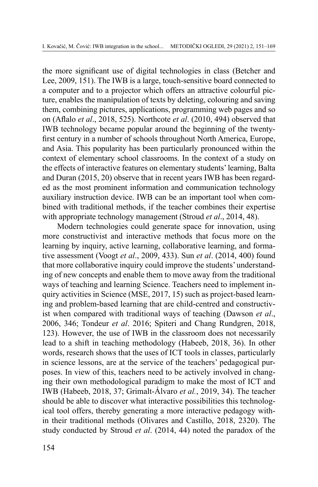the more significant use of digital technologies in class (Betcher and Lee, 2009, 151). The IWB is a large, touch-sensitive board connected to a computer and to a projector which offers an attractive colourful picture, enables the manipulation of texts by deleting, colouring and saving them, combining pictures, applications, programming web pages and so on (Aflalo *et al*., 2018, 525). Northcote *et al*. (2010, 494) observed that IWB technology became popular around the beginning of the twentyfirst century in a number of schools throughout North America, Europe, and Asia. This popularity has been particularly pronounced within the context of elementary school classrooms. In the context of a study on the effects of interactive features on elementary students'learning, Balta and Duran (2015, 20) observe that in recent years IWB has been regarded as the most prominent information and communication technology auxiliary instruction device. IWB can be an important tool when combined with traditional methods, if the teacher combines their expertise with appropriate technology management (Stroud *et al*., 2014, 48).

Modern technologies could generate space for innovation, using more constructivist and interactive methods that focus more on the learning by inquiry, active learning, collaborative learning, and formative assessment (Voogt *et al*., 2009, 433). Sun *et al*. (2014, 400) found that more collaborative inquiry could improve the students' understanding of new concepts and enable them to move away from the traditional ways of teaching and learning Science. Teachers need to implement inquiry activities in Science (MSE, 2017, 15) such as project-based learning and problem-based learning that are child-centred and constructivist when compared with traditional ways of teaching (Dawson *et al*., 2006, 346; Tondeur *et al*. 2016; Spiteri and Chang [Rundgren,](file:///G:\Kongresi\2019\Austria 22 i 23 jan\Met ogledi\Manuscript - reviewed.docx#_ENREF_27) 2018, 123). However, the use of IWB in the classroom does not necessarily lead to a shift in teaching methodology (Habeeb, 2018, 36). In other words, research shows that the uses of ICT tools in classes, particularly in science lessons, are at the service of the teachers' pedagogical purposes. In view of this, teachers need to be actively involved in changing their own methodological paradigm to make the most of ICT and IWB (Habeeb, 2018, 37; [Grimalt-Álvaro](file:///G:\Kongresi\2019\Austria 22 i 23 jan\Met ogledi\Manuscript - reviewed.docx#_ENREF_12) *et al.*, 2019, 34). The teacher should be able to discover what interactive possibilities this technological tool offers, thereby generating a more interactive pedagogy within their traditional methods (Olivares and Castillo, 2018, 2320). The study conducted by Stroud *et al*. (2014, 44) noted the paradox of the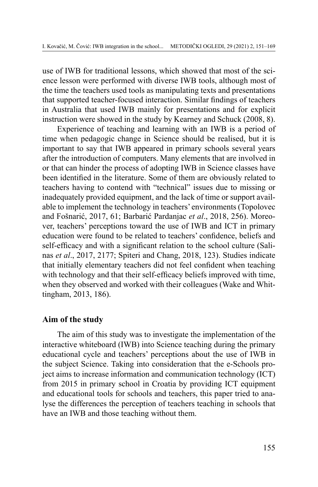use of IWB for traditional lessons, which showed that most of the science lesson were performed with diverse IWB tools, although most of the time the teachers used tools as manipulating texts and presentations that supported teacher-focused interaction. Similar findings of teachers in Australia that used IWB mainly for presentations and for explicit instruction were showed in the study by Kearney and Schuck (2008, 8).

Experience of teaching and learning with an IWB is a period of time when pedagogic change in Science should be realised, but it is important to say that IWB appeared in primary schools several years after the introduction of computers. Many elements that are involved in or that can hinder the process of adopting IWB in Science classes have been identified in the literature. Some of them are obviously related to teachers having to contend with "technical" issues due to missing or inadequately provided equipment, and the lack of time or support available to implement the technology in teachers' environments (Topolovec and Fošnarić, 2017, 61; Barbarić Pardanjac *et al*., 2018, 256). Moreover, teachers' perceptions toward the use of IWB and ICT in primary education were found to be related to teachers' confidence, beliefs and self-efficacy and with a significant relation to the school culture (Salinas *et al*., 2017, 2177; Spiteri and [Chang,](file:///G:\Kongresi\2019\Austria 22 i 23 jan\Met ogledi\Manuscript - reviewed.docx#_ENREF_27) 2018, 123). Studies indicate that initially elementary teachers did not feel confident when teaching with technology and that their self-efficacy beliefs improved with time, when they observed and worked with their colleagues (Wake and Whittingham, 2013, 186).

### **Aim of the study**

The aim of this study was to investigate the implementation of the interactive whiteboard (IWB) into Science teaching during the primary educational cycle and teachers' perceptions about the use of IWB in the subject Science. Taking into consideration that the e-Schools project aims to increase information and communication technology (ICT) from 2015 in primary school in Croatia by providing ICT equipment and educational tools for schools and teachers, this paper tried to analyse the differences the perception of teachers teaching in schools that have an IWB and those teaching without them.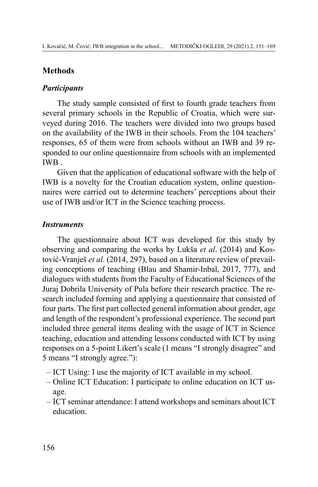# **Methods**

### *Participants*

The study sample consisted of first to fourth grade teachers from several primary schools in the Republic of Croatia, which were surveyed during 2016. The teachers were divided into two groups based on the availability of the IWB in their schools. From the 104 teachers' responses, 65 of them were from schools without an IWB and 39 responded to our online questionnaire from schools with an implemented IWB .

Given that the application of educational software with the help of IWB is a novelty for the Croatian education system, online questionnaires were carried out to determine teachers' perceptions about their use of IWB and/or ICT in the Science teaching process.

# *Instruments*

The questionnaire about ICT was developed for this study by observing and comparing the works by Lukša *et al*. (2014) and Kostović-Vranješ *et al*. (2014, 297), based on a literature review of prevailing conceptions of teaching (Blau and Shamir-Inbal, 2017, 777), and dialogues with students from the Faculty of Educational Sciences of the Juraj Dobrila University of Pula before their research practice. The research included forming and applying a questionnaire that consisted of four parts. The first part collected general information about gender, age and length of the respondent's professional experience. The second part included three general items dealing with the usage of ICT in Science teaching, education and attending lessons conducted with ICT by using responses on a 5-point Likert's scale (1 means "I strongly disagree" and 5 means "I strongly agree."):

- ICT Using: I use the majority of ICT available in my school.
- Online ICT Education: I participate to online education on ICT usage.
- ICT seminar attendance: I attend workshops and seminars about ICT education.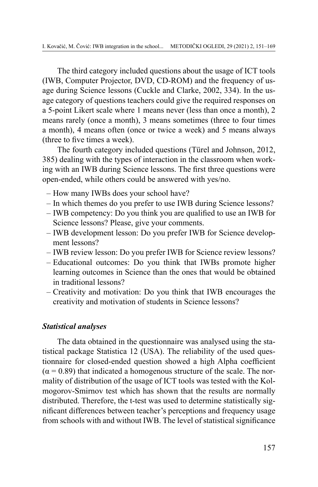The third category included questions about the usage of ICT tools (IWB, Computer Projector, DVD, CD-ROM) and the frequency of usage during Science lessons (Cuckle and Clarke, 2002, 334). In the usage category of questions teachers could give the required responses on a 5-point Likert scale where 1 means never (less than once a month), 2 means rarely (once a month), 3 means sometimes (three to four times a month), 4 means often (once or twice a week) and 5 means always (three to five times a week).

The fourth category included questions (Türel and Johnson, 2012, 385) dealing with the types of interaction in the classroom when working with an IWB during Science lessons. The first three questions were open-ended, while others could be answered with yes/no.

- How many IWBs does your school have?
- In which themes do you prefer to use IWB during Science lessons?
- IWB competency: Do you think you are qualified to use an IWB for Science lessons? Please, give your comments.
- IWB development lesson: Do you prefer IWB for Science development lessons?
- IWB review lesson: Do you prefer IWB for Science review lessons?
- Educational outcomes: Do you think that IWBs promote higher learning outcomes in Science than the ones that would be obtained in traditional lessons?
- Creativity and motivation: Do you think that IWB encourages the creativity and motivation of students in Science lessons?

#### *Statistical analyses*

The data obtained in the questionnaire was analysed using the statistical package Statistica 12 (USA). The reliability of the used questionnaire for closed-ended question showed a high Alpha coefficient  $(\alpha = 0.89)$  that indicated a homogenous structure of the scale. The normality of distribution of the usage of ICT tools was tested with the Kolmogorov-Smirnov test which has shown that the results are normally distributed. Therefore, the t-test was used to determine statistically significant differences between teacher's perceptions and frequency usage from schools with and without IWB. The level of statistical significance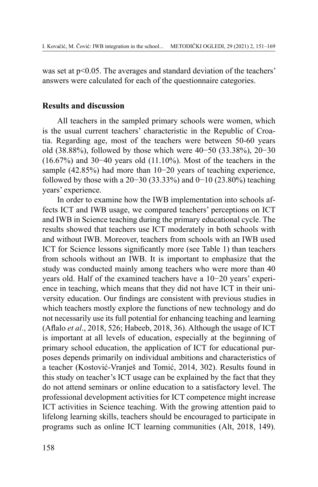was set at p<0.05. The averages and standard deviation of the teachers' answers were calculated for each of the questionnaire categories.

#### **Results and discussion**

All teachers in the sampled primary schools were women, which is the usual current teachers' characteristic in the Republic of Croatia. Regarding age, most of the teachers were between 50-60 years old (38.88%), followed by those which were 40−50 (33.38%), 20−30 (16.67%) and 30−40 years old (11.10%). Most of the teachers in the sample (42.85%) had more than 10−20 years of teaching experience, followed by those with a 20−30 (33.33%) and 0−10 (23.80%) teaching years' experience.

In order to examine how the IWB implementation into schools affects ICT and IWB usage, we compared teachers' perceptions on ICT and IWB in Science teaching during the primary educational cycle. The results showed that teachers use ICT moderately in both schools with and without IWB. Moreover, teachers from schools with an IWB used ICT for Science lessons significantly more (see Table 1) than teachers from schools without an IWB. It is important to emphasize that the study was conducted mainly among teachers who were more than 40 years old. Half of the examined teachers have a 10−20 years' experience in teaching, which means that they did not have ICT in their university education. Our findings are consistent with previous studies in which teachers mostly explore the functions of new technology and do not necessarily use its full potential for enhancing teaching and learning (Aflalo *et al*., 2018, 526; Habeeb, 2018, 36). Although the usage of ICT is important at all levels of education, especially at the beginning of primary school education, the application of ICT for educational purposes depends primarily on individual ambitions and characteristics of a teacher (Kostović-Vranješ and Tomić, 2014, 302). Results found in this study on teacher's ICT usage can be explained by the fact that they do not attend seminars or online education to a satisfactory level. The professional development activities for ICT competence might increase ICT activities in Science teaching. With the growing attention paid to lifelong learning skills, teachers should be encouraged to participate in programs such as online ICT learning communities (Alt, 2018, 149).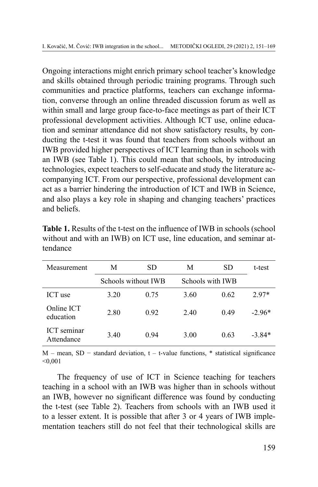Ongoing interactions might enrich primary school teacher's knowledge and skills obtained through periodic training programs. Through such communities and practice platforms, teachers can exchange information, converse through an online threaded discussion forum as well as within small and large group face-to-face meetings as part of their ICT professional development activities. Although ICT use, online education and seminar attendance did not show satisfactory results, by conducting the t-test it was found that teachers from schools without an IWB provided higher perspectives of ICT learning than in schools with an IWB (see Table 1). This could mean that schools, by introducing technologies, expect teachers to self-educate and study the literature accompanying ICT. From our perspective, professional development can act as a barrier hindering the introduction of ICT and IWB in Science, and also plays a key role in shaping and changing teachers' practices and beliefs.

| Measurement                      | М    | SD                  | М    | <b>SD</b>        | t-test   |
|----------------------------------|------|---------------------|------|------------------|----------|
|                                  |      | Schools without IWB |      | Schools with IWB |          |
| ICT use                          | 3.20 | 0.75                | 3.60 | 0.62             | $2.97*$  |
| Online ICT<br>education          | 2.80 | 0.92                | 2.40 | 0.49             | $-2.96*$ |
| <b>ICT</b> seminar<br>Attendance | 3.40 | 0 94                | 3.00 | 0.63             | $-3.84*$ |

**Table 1.** Results of the t-test on the influence of IWB in schools (school) without and with an IWB) on ICT use, line education, and seminar attendance

M – mean, SD – standard deviation,  $t - t$ -value functions, \* statistical significance  $< 0.001$ 

The frequency of use of ICT in Science teaching for teachers teaching in a school with an IWB was higher than in schools without an IWB, however no significant difference was found by conducting the t-test (see Table 2). Teachers from schools with an IWB used it to a lesser extent. It is possible that after 3 or 4 years of IWB implementation teachers still do not feel that their technological skills are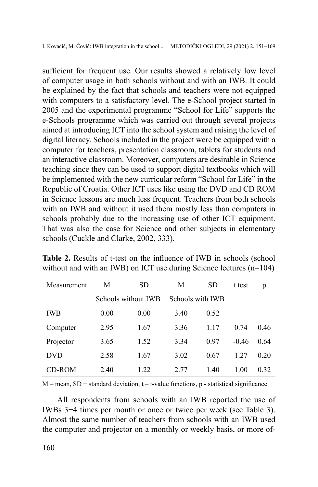sufficient for frequent use. Our results showed a relatively low level of computer usage in both schools without and with an IWB. It could be explained by the fact that schools and teachers were not equipped with computers to a satisfactory level. The e-School project started in 2005 and the experimental programme "School for Life" supports the e-Schools programme which was carried out through several projects aimed at introducing ICT into the school system and raising the level of digital literacy. Schools included in the project were be equipped with a computer for teachers, presentation classroom, tablets for students and an interactive classroom. Moreover, computers are desirable in Science teaching since they can be used to support digital textbooks which will be implemented with the new curricular reform "School for Life" in the Republic of Croatia. Other ICT uses like using the DVD and CD ROM in Science lessons are much less frequent. Teachers from both schools with an IWB and without it used them mostly less than computers in schools probably due to the increasing use of other ICT equipment. That was also the case for Science and other subjects in elementary schools (Cuckle and Clarke, 2002, 333).

| Measurement | М                   | <b>SD</b> | М                | <b>SD</b> | t test  | p    |
|-------------|---------------------|-----------|------------------|-----------|---------|------|
|             | Schools without IWB |           | Schools with IWB |           |         |      |
| <b>IWB</b>  | 0.00                | 0.00      | 3.40             | 0.52      |         |      |
| Computer    | 2.95                | 1.67      | 3.36             | 1.17      | 0.74    | 0.46 |
| Projector   | 3.65                | 1.52      | 3.34             | 0.97      | $-0.46$ | 0.64 |
| <b>DVD</b>  | 2.58                | 1.67      | 3.02             | 0.67      | 1.27    | 0.20 |
| CD-ROM      | 2.40                | 1.22      | 2.77             | 1.40      | 1.00    | 0.32 |

**Table 2.** Results of t-test on the influence of IWB in schools (school without and with an IWB) on ICT use during Science lectures (n=104)

M – mean, SD − standard deviation, t – t-value functions, p - statistical significance

All respondents from schools with an IWB reported the use of IWBs 3−4 times per month or once or twice per week (see Table 3). Almost the same number of teachers from schools with an IWB used the computer and projector on a monthly or weekly basis, or more of-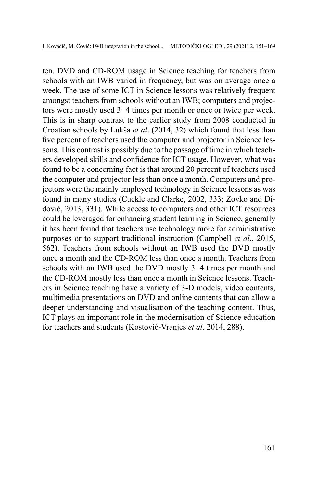ten. DVD and CD-ROM usage in Science teaching for teachers from schools with an IWB varied in frequency, but was on average once a week. The use of some ICT in Science lessons was relatively frequent amongst teachers from schools without an IWB; computers and projectors were mostly used 3−4 times per month or once or twice per week. This is in sharp contrast to the earlier study from 2008 conducted in Croatian schools by Lukša *et al*. (2014, 32) which found that less than five percent of teachers used the computer and projector in Science lessons. This contrast is possibly due to the passage of time in which teachers developed skills and confidence for ICT usage. However, what was found to be a concerning fact is that around 20 percent of teachers used the computer and projector less than once a month. Computers and projectors were the mainly employed technology in Science lessons as was found in many studies (Cuckle and Clarke, 2002, 333; Zovko and Didović, 2013, 331). While access to computers and other ICT resources could be leveraged for enhancing student learning in Science, generally it has been found that teachers use technology more for administrative purposes or to support traditional instruction (Campbell *et al*., 2015, 562). Teachers from schools without an IWB used the DVD mostly once a month and the CD-ROM less than once a month. Teachers from schools with an IWB used the DVD mostly 3–4 times per month and the CD-ROM mostly less than once a month in Science lessons. Teachers in Science teaching have a variety of 3-D models, video contents, multimedia presentations on DVD and online contents that can allow a deeper understanding and visualisation of the teaching content. Thus, ICT plays an important role in the modernisation of Science education for teachers and students (Kostović-Vranješ *et al*. 2014, 288).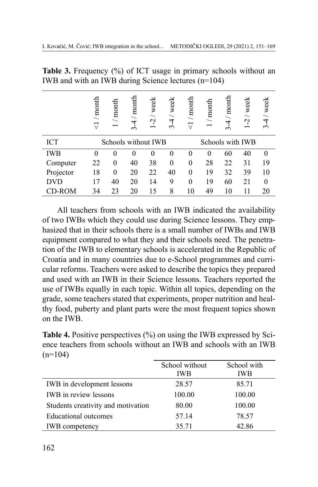|            | $/$ month<br>$\triangledown$ | / month  | month<br>4<br>$\sim$ | / week<br>$\tilde{c}$ | week<br>4<br>3 | / month<br>$\overline{\vee}$ | $/$ month | $/$ month<br>4<br>$\mathfrak{g}$ | / week<br>Ļ      | / week<br>$\mathbf{\tilde{5}}$ |
|------------|------------------------------|----------|----------------------|-----------------------|----------------|------------------------------|-----------|----------------------------------|------------------|--------------------------------|
| <b>ICT</b> |                              |          | Schools without IWB  |                       |                |                              |           |                                  | Schools with IWB |                                |
| IWB        | 0                            | $\Omega$ | 0                    | 0                     | $\theta$       | $\theta$                     | $\Omega$  | 60                               | 40               | $\theta$                       |
| Computer   | 22                           | $\theta$ | 40                   | 38                    | $\theta$       | $\theta$                     | 28        | 22                               | 31               | 19                             |
| Projector  | 18                           | $\theta$ | 20                   | 22                    | 40             | $\theta$                     | 19        | 32                               | 39               | 10                             |
| <b>DVD</b> | 17                           | 40       | 20                   | 14                    | 9              | $\theta$                     | 19        | 60                               | 21               | $\theta$                       |
| CD-ROM     | 34                           | 23       | 20                   | 15                    | 8              | 10                           | 49        | 10                               | 11               | 20                             |

**Table 3.** Frequency (%) of ICT usage in primary schools without an IWB and with an IWB during Science lectures (n=104)

All teachers from schools with an IWB indicated the availability of two IWBs which they could use during Science lessons. They emphasized that in their schools there is a small number of IWBs and IWB equipment compared to what they and their schools need. The penetration of the IWB to elementary schools is accelerated in the Republic of Croatia and in many countries due to e-School programmes and curricular reforms. Teachers were asked to describe the topics they prepared and used with an IWB in their Science lessons. Teachers reported the use of IWBs equally in each topic. Within all topics, depending on the grade, some teachers stated that experiments, proper nutrition and healthy food, puberty and plant parts were the most frequent topics shown on the IWB.

**Table 4.** Positive perspectives (%) on using the IWB expressed by Science teachers from schools without an IWB and schools with an IWB  $(n=104)$ 

|                                    | School without | School with |
|------------------------------------|----------------|-------------|
|                                    | <b>IWB</b>     | <b>IWB</b>  |
| IWB in development lessons         | 28.57          | 85.71       |
| IWB in review lessons              | 100.00         | 100.00      |
| Students creativity and motivation | 80.00          | 100.00      |
| Educational outcomes               | 57.14          | 78.57       |
| <b>IWB</b> competency              | 35.71          | 42.86       |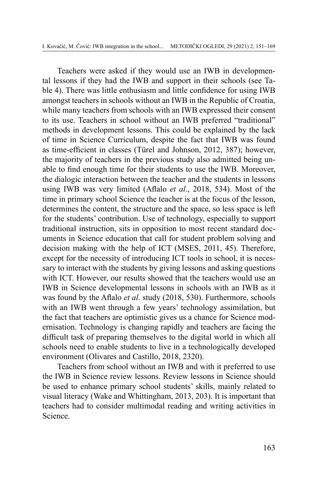Teachers were asked if they would use an IWB in developmental lessons if they had the IWB and support in their schools (see Table 4). There was little enthusiasm and little confidence for using IWB amongst teachers in schools without an IWB in the Republic of Croatia, while many teachers from schools with an IWB expressed their consent to its use. Teachers in school without an IWB preferred "traditional" methods in development lessons. This could be explained by the lack of time in Science Curriculum, despite the fact that IWB was found as time-efficient in classes (Türel and Johnson, 2012, 387); however, the majority of teachers in the previous study also admitted being unable to find enough time for their students to use the IWB. Moreover, the dialogic interaction between the teacher and the students in lessons using IWB was very limited (Aflalo *et al*., 2018, 534). Most of the time in primary school Science the teacher is at the focus of the lesson, determines the content, the structure and the space, so less space is left for the students' contribution. Use of technology, especially to support traditional instruction, sits in opposition to most recent standard documents in Science education that call for student problem solving and decision making with the help of ICT (MSES, 2011, 45). Therefore, except for the necessity of introducing ICT tools in school, it is necessary to interact with the students by giving lessons and asking questions with ICT. However, our results showed that the teachers would use an IWB in Science developmental lessons in schools with an IWB as it was found by the Aflalo *et al*. study (2018, 530). Furthermore, schools with an IWB went through a few years' technology assimilation, but the fact that teachers are optimistic gives us a chance for Science modernisation. Technology is changing rapidly and teachers are facing the difficult task of preparing themselves to the digital world in which all schools need to enable students to live in a technologically developed environment (Olivares and Castillo, 2018, 2320).

Teachers from school without an IWB and with it preferred to use the IWB in Science review lessons. Review lessons in Science should be used to enhance primary school students' skills, mainly related to visual literacy (Wake and Whittingham, 2013, 203). It is important that teachers had to consider multimodal reading and writing activities in Science.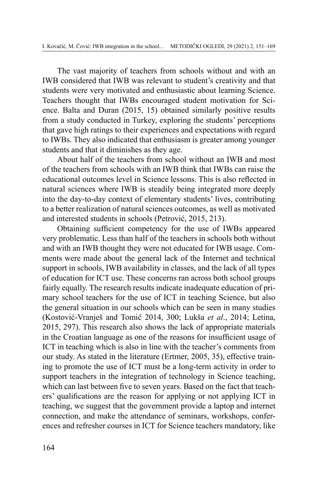The vast majority of teachers from schools without and with an IWB considered that IWB was relevant to student's creativity and that students were very motivated and enthusiastic about learning Science. Teachers thought that IWBs encouraged student motivation for Science. Balta and Duran (2015, 15) obtained similarly positive results from a study conducted in Turkey, exploring the students' perceptions that gave high ratings to their experiences and expectations with regard to IWBs. They also indicated that enthusiasm is greater among younger students and that it diminishes as they age.

About half of the teachers from school without an IWB and most of the teachers from schools with an IWB think that IWBs can raise the educational outcomes level in Science lessons. This is also reflected in natural sciences where IWB is steadily being integrated more deeply into the day-to-day context of elementary students' lives, contributing to a better realization of natural sciences outcomes, as well as motivated and interested students in schools (Petrović, 2015, 213).

Obtaining sufficient competency for the use of IWBs appeared very problematic. Less than half of the teachers in schools both without and with an IWB thought they were not educated for IWB usage. Comments were made about the general lack of the Internet and technical support in schools, IWB availability in classes, and the lack of all types of education for ICT use. These concerns ran across both school groups fairly equally. The research results indicate inadequate education of primary school teachers for the use of ICT in teaching Science, but also the general situation in our schools which can be seen in many studies (Kostović-Vranješ and Tomić 2014, 300; [Lukša](file:///G:\Kongresi\2019\Austria 22 i 23 jan\Met ogledi\Manuscript - reviewed.docx#_ENREF_19) *et al*., 2014; [Letina,](file:///G:\Kongresi\2019\Austria 22 i 23 jan\Met ogledi\Manuscript - reviewed.docx#_ENREF_18) [2015,](file:///G:\Kongresi\2019\Austria 22 i 23 jan\Met ogledi\Manuscript - reviewed.docx#_ENREF_18) 297). This research also shows the lack of appropriate materials in the Croatian language as one of the reasons for insufficient usage of ICT in teaching which is also in line with the teacher's comments from our study. As stated in the literature (Ertmer, 2005, 35), effective training to promote the use of ICT must be a long-term activity in order to support teachers in the integration of technology in Science teaching, which can last between five to seven years. Based on the fact that teachers' qualifications are the reason for applying or not applying ICT in teaching, we suggest that the government provide a laptop and internet connection, and make the attendance of seminars, workshops, conferences and refresher courses in ICT for Science teachers mandatory, like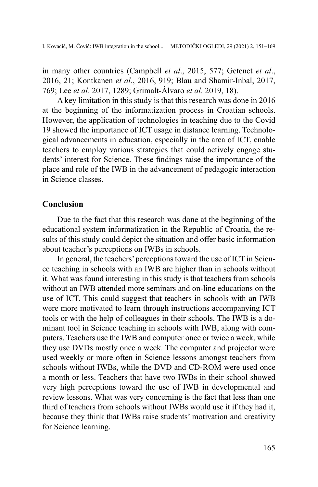in many other countries (Campbell *et al*., 2015, 577; [Getenet](file:///G:\Kongresi\2019\Austria 22 i 23 jan\Met ogledi\Manuscript - reviewed.docx#_ENREF_11) *et al*., [2016,](file:///G:\Kongresi\2019\Austria 22 i 23 jan\Met ogledi\Manuscript - reviewed.docx#_ENREF_11) 21; [Kontkanen](file:///G:\Kongresi\2019\Austria 22 i 23 jan\Met ogledi\Manuscript - reviewed.docx#_ENREF_15) *et al*., 2016, 919; Blau and [Shamir-Inbal,](file:///G:\Kongresi\2019\Austria 22 i 23 jan\Met ogledi\Manuscript - reviewed.docx#_ENREF_5) 2017, 769; Lee *et al*. [2017,](file:///G:\Kongresi\2019\Austria 22 i 23 jan\Met ogledi\Manuscript - reviewed.docx#_ENREF_17) 1289; [Grimalt-Álvaro](file:///G:\Kongresi\2019\Austria 22 i 23 jan\Met ogledi\Manuscript - reviewed.docx#_ENREF_12) *et al*. 2019, 18).

A key limitation in this study is that this research was done in 2016 at the beginning of the informatization process in Croatian schools. However, the application of technologies in teaching due to the Covid 19 showed the importance of ICT usage in distance learning. Technological advancements in education, especially in the area of ICT, enable teachers to employ various strategies that could actively engage students' interest for Science. These findings raise the importance of the place and role of the IWB in the advancement of pedagogic interaction in Science classes.

# **Conclusion**

Due to the fact that this research was done at the beginning of the educational system informatization in the Republic of Croatia, the results of this study could depict the situation and offer basic information about teacher's perceptions on IWBs in schools.

In general, the teachers' perceptions toward the use of ICT in Science teaching in schools with an IWB are higher than in schools without it. What was found interesting in this study is that teachers from schools without an IWB attended more seminars and on-line educations on the use of ICT. This could suggest that teachers in schools with an IWB were more motivated to learn through instructions accompanying ICT tools or with the help of colleagues in their schools. The IWB is a dominant tool in Science teaching in schools with IWB, along with computers. Teachers use the IWB and computer once or twice a week, while they use DVDs mostly once a week. The computer and projector were used weekly or more often in Science lessons amongst teachers from schools without IWBs, while the DVD and CD-ROM were used once a month or less. Teachers that have two IWBs in their school showed very high perceptions toward the use of IWB in developmental and review lessons. What was very concerning is the fact that less than one third of teachers from schools without IWBs would use it if they had it, because they think that IWBs raise students' motivation and creativity for Science learning.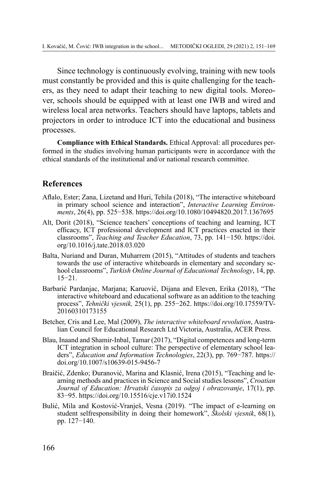Since technology is continuously evolving, training with new tools must constantly be provided and this is quite challenging for the teachers, as they need to adapt their teaching to new digital tools. Moreover, schools should be equipped with at least one IWB and wired and wireless local area networks. Teachers should have laptops, tablets and projectors in order to introduce ICT into the educational and business processes.

**Compliance with Ethical Standards.** Ethical Approval: all procedures performed in the studies involving human participants were in accordance with the ethical standards of the institutional and/or national research committee.

# **References**

- Aflalo, Ester; Zana, Lizetand and Huri, Tehila (2018), "The interactive whiteboard in primary school science and interaction", *Interactive Learning Environments*, 26(4), pp. 525−538. https://doi.org/10.1080/10494820.2017.1367695
- Alt, Dorit (2018), "Science teachers' conceptions of teaching and learning, ICT efficacy, ICT professional development and ICT practices enacted in their classrooms", *Teaching and Teacher Education*, 73, pp. 141−150. https://doi. org/10.1016/j.tate.2018.03.020
- Balta, Nuriand and Duran, Muharrem (2015), "Attitudes of students and teachers towards the use of interactive whiteboards in elementary and secondary school classrooms", *Turkish Online Journal of Educational Technology*, 14, pp. 15−21.
- Barbarić Pardanjac, Marjana; Karuović, Dijana and Eleven, Erika (2018), "The interactive whiteboard and educational software as an addition to the teaching process", *Tehnički vjesnik,* 25(1), pp. 255−262. https://doi.org/10.17559/TV-20160310173155
- Betcher, Cris and Lee, Mal (2009), *The interactive whiteboard revolution*, Australian Council for Educational Research Ltd Victoria, Australia, ACER Press.
- Blau, Inaand and Shamir-Inbal, Tamar (2017), "Digital competences and long-term ICT integration in school culture: The perspective of elementary school leaders", *Education and Information Technologies*, 22(3), pp. 769−787. https:// doi.org/10.1007/s10639-015-9456-7
- Braičić, Zdenko; Đuranović, Marina and Klasnić, Irena (2015), "Teaching and learning methods and practices in Science and Social studies lessons", *Croatian Journal of Education: Hrvatski časopis za odgoj i obrazovanje*, 17(1), pp. 83−95. https://doi.org/10.15516/cje.v17i0.1524
- Bulić, Mila and Kostović-Vranješ, Vesna (2019). "The impact of e-learning on student selfresponsibility in doing their homework", *Školski vjesnik*, 68(1), pp. 127−140.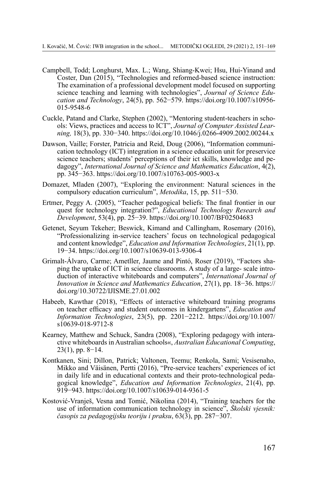- Campbell, Todd; Longhurst, Max. L.; Wang, Shiang-Kwei; Hsu, Hui-Yinand and Coster, Dan (2015), "Technologies and reformed-based science instruction: The examination of a professional development model focused on supporting science teaching and learning with technologies", *Journal of Science Education and Technology*, 24(5), pp. 562−579. https://doi.org/10.1007/s10956- 015-9548-6
- Cuckle, Patand and Clarke, Stephen (2002), "Mentoring student-teachers in schools: Views, practices and access to ICT", *Journal of Computer Assisted Learning,* 18(3), pp. 330−340. https://doi.org/10.1046/j.0266-4909.2002.00244.x
- Dawson, Vaille; Forster, Patricia and Reid, Doug (2006), "Information communication technology (ICT) integration in a science education unit for preservice science teachers; students' perceptions of their ict skills, knowledge and pedagogy", *International Journal of Science and Mathematics Education*, 4(2), pp. 345−363. https://doi.org/10.1007/s10763-005-9003-x
- Domazet, Mladen (2007), "Exploring the environment: Natural sciences in the compulsory education curriculum", *Metodika*, 15, pp. 511−530.
- Ertmer, Peggy A. (2005), "Teacher pedagogical beliefs: The final frontier in our quest for technology integration?", *Educational Technology Research and Development*, 53(4), pp. 25−39. https://doi.org/10.1007/BF02504683
- Getenet, Seyum Tekeher; Beswick, Kimand and Callingham, Rosemary (2016), "Professionalizing in-service teachers' focus on technological pedagogical and content knowledge", *Education and Information Technologies*, 21(1), pp. 19−34. https://doi.org/10.1007/s10639-013-9306-4
- Grimalt-Álvaro, Carme; Ametller, Jaume and Pintó, Roser (2019), "Factors shaping the uptake of ICT in science classrooms. A study of a large- scale introduction of interactive whiteboards and computers", *International Journal of Innovation in Science and Mathematics Education*, 27(1), pp. 18−36. https:// doi.org/10.30722/IJISME.27.01.002
- Habeeb, Kawthar (2018), "Effects of interactive whiteboard training programs on teacher efficacy and student outcomes in kindergartens", *Education and Information Technologies*, 23(5), pp. 2201−2212. https://doi.org/10.1007/ s10639-018-9712-8
- Kearney, Matthew and Schuck, Sandra (2008), "Exploring pedagogy with interactive whiteboards in Australian schools«, *Australian Educational Computing*, 23(1), pp. 8−14.
- Kontkanen, Sini; Dillon, Patrick; Valtonen, Teemu; Renkola, Sami; Vesisenaho, Mikko and Väisänen, Pertti (2016), "Pre-service teachers' experiences of ict in daily life and in educational contexts and their proto-technological pedagogical knowledge", *Education and Information Technologies*, 21(4), pp. 919−943. https://doi.org/10.1007/s10639-014-9361-5
- Kostović-Vranješ, Vesna and Tomić, Nikolina (2014), "Training teachers for the use of information communication technology in science", *Školski vjesnik: časopis za pedagogijsku teoriju i praksu*, 63(3), pp. 287−307.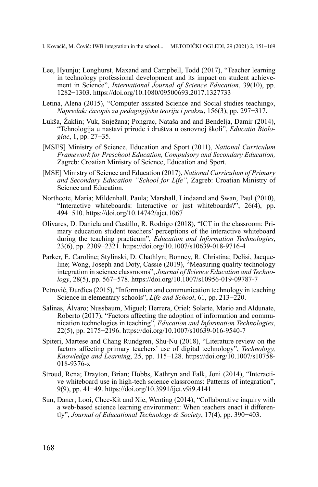- Lee, Hyunju; Longhurst, Maxand and Campbell, Todd (2017), "Teacher learning in technology professional development and its impact on student achievement in Science", *International Journal of Science Education*, 39(10), pp. 1282−1303. https://doi.org/10.1080/09500693.2017.1327733
- Letina, Alena (2015), "Computer assisted Science and Social studies teaching«, *Napredak: časopis za pedagogijsku teoriju i praksu*, 156(3), pp. 297−317.
- Lukša, Žaklin; Vuk, Snježana; Pongrac, Nataša and and Bendelja, Damir (2014), "Tehnologija u nastavi prirode i društva u osnovnoj školi", *Educatio Biologiae*, 1, pp. 27−35.
- [MSES] Ministry of Science, Education and Sport (2011), *National Curriculum Framework for Preschool Education, Compulsory and Secondary Education,* Zagreb: Croatian Ministry of Science, Education and Sport.
- [MSE] Ministry of Science and Education (2017), *National Curriculum of Primary and Secondary Education ''School for Life''*, Zagreb: Croatian Ministry of Science and Education.
- Northcote, Maria; Mildenhall, Paula; Marshall, Lindaand and Swan, Paul (2010), "Interactive whiteboards: Interactive or just whiteboards?", 26(4), pp. 494−510. https://doi.org/10.14742/ajet.1067
- Olivares, D. Daniela and Castillo, R. Rodrigo (2018), "ICT in the classroom: Primary education student teachers' perceptions of the interactive whiteboard during the teaching practicum", *Education and Information Technologies*, 23(6), pp. 2309−2321. https://doi.org/10.1007/s10639-018-9716-4
- Parker, E. Caroline; Stylinski, D. Chathlyn; Bonney, R. Christina; Delisi, Jacqueline; Wong, Joseph and Doty, Cassie (2019), "Measuring quality technology integration in science classrooms", *Journal of Science Education and Technology*, 28(5), pp. 567−578. https://doi.org/10.1007/s10956-019-09787-7
- Petrović, Đurđica (2015), "Information and communication technology in teaching Science in elementary schools", *Life and School*, 61, pp. 213−220.
- Salinas, Álvaro; Nussbaum, Miguel; Herrera, Oriel; Solarte, Mario and Aldunate, Roberto (2017), "Factors affecting the adoption of information and communication technologies in teaching", *Education and Information Technologies*, 22(5), pp. 2175−2196. https://doi.org/10.1007/s10639-016-9540-7
- Spiteri, Martese and Chang Rundgren, Shu-Nu (2018), "Literature review on the factors affecting primary teachers' use of digital technology", *Technology, Knowledge and Learning*, 25, pp. 115−128. https://doi.org/10.1007/s10758- 018-9376-x
- Stroud, Rena; Drayton, Brian; Hobbs, Kathryn and Falk, Joni (2014), "Interactive whiteboard use in high-tech science classrooms: Patterns of integration", 9(9), pp. 41−49. https://doi.org/10.3991/ijet.v9i9.4141
- Sun, Daner; Looi, Chee-Kit and Xie, Wenting (2014), "Collaborative inquiry with a web-based science learning environment: When teachers enact it differently", *Journal of Educational Technology & Society*, 17(4), pp. 390−403.